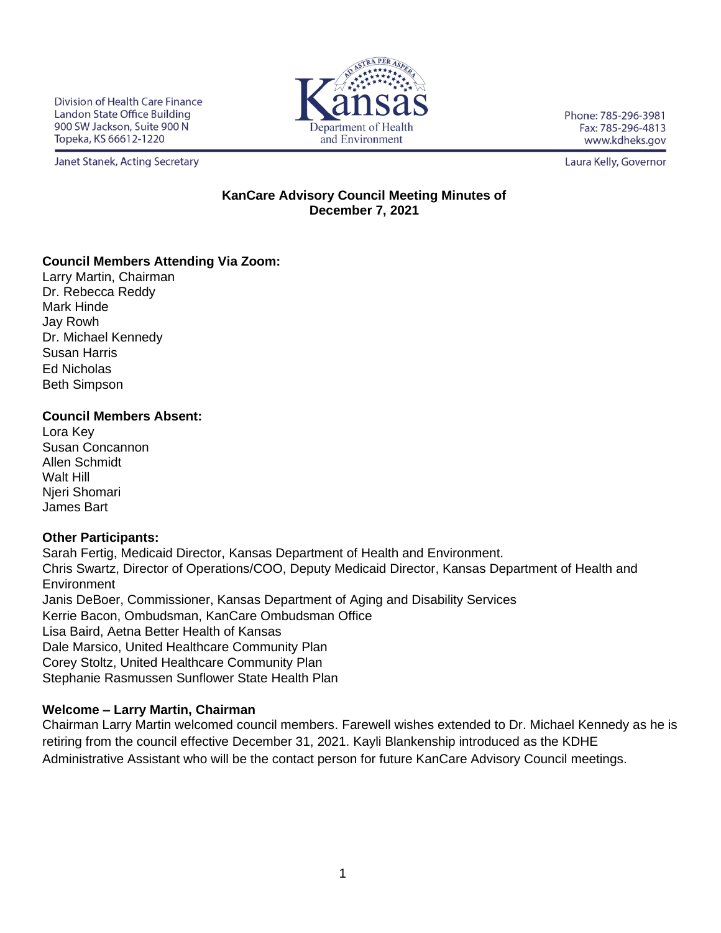Division of Health Care Finance Landon State Office Building 900 SW Jackson, Suite 900 N Topeka, KS 66612-1220



Phone: 785-296-3981 Fax: 785-296-4813 www.kdheks.gov

Janet Stanek, Acting Secretary

Laura Kelly, Governor

## **KanCare Advisory Council Meeting Minutes of December 7, 2021**

## **Council Members Attending Via Zoom:**

Larry Martin, Chairman Dr. Rebecca Reddy Mark Hinde Jay Rowh Dr. Michael Kennedy Susan Harris Ed Nicholas Beth Simpson

### **Council Members Absent:**

Lora Key Susan Concannon Allen Schmidt Walt Hill Njeri Shomari James Bart

# **Other Participants:**

Sarah Fertig, Medicaid Director, Kansas Department of Health and Environment. Chris Swartz, Director of Operations/COO, Deputy Medicaid Director, Kansas Department of Health and **Environment** Janis DeBoer, Commissioner, Kansas Department of Aging and Disability Services Kerrie Bacon, Ombudsman, KanCare Ombudsman Office Lisa Baird, Aetna Better Health of Kansas Dale Marsico, United Healthcare Community Plan Corey Stoltz, United Healthcare Community Plan Stephanie Rasmussen Sunflower State Health Plan

# **Welcome – Larry Martin, Chairman**

Chairman Larry Martin welcomed council members. Farewell wishes extended to Dr. Michael Kennedy as he is retiring from the council effective December 31, 2021. Kayli Blankenship introduced as the KDHE Administrative Assistant who will be the contact person for future KanCare Advisory Council meetings.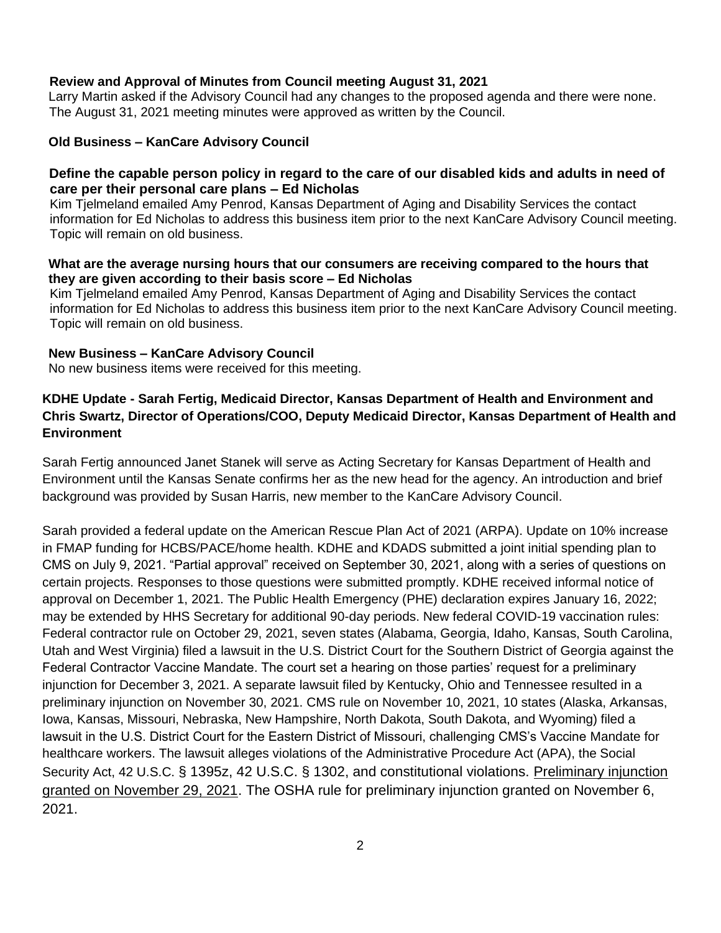### **Review and Approval of Minutes from Council meeting August 31, 2021**

Larry Martin asked if the Advisory Council had any changes to the proposed agenda and there were none. The August 31, 2021 meeting minutes were approved as written by the Council.

### **Old Business – KanCare Advisory Council**

### **Define the capable person policy in regard to the care of our disabled kids and adults in need of care per their personal care plans – Ed Nicholas**

 Kim Tjelmeland emailed Amy Penrod, Kansas Department of Aging and Disability Services the contact information for Ed Nicholas to address this business item prior to the next KanCare Advisory Council meeting. Topic will remain on old business.

#### **What are the average nursing hours that our consumers are receiving compared to the hours that they are given according to their basis score – Ed Nicholas**

 Kim Tjelmeland emailed Amy Penrod, Kansas Department of Aging and Disability Services the contact information for Ed Nicholas to address this business item prior to the next KanCare Advisory Council meeting. Topic will remain on old business.

#### **New Business – KanCare Advisory Council**

No new business items were received for this meeting.

# **KDHE Update - Sarah Fertig, Medicaid Director, Kansas Department of Health and Environment and Chris Swartz, Director of Operations/COO, Deputy Medicaid Director, Kansas Department of Health and Environment**

Sarah Fertig announced Janet Stanek will serve as Acting Secretary for Kansas Department of Health and Environment until the Kansas Senate confirms her as the new head for the agency. An introduction and brief background was provided by Susan Harris, new member to the KanCare Advisory Council.

Sarah provided a federal update on the American Rescue Plan Act of 2021 (ARPA). Update on 10% increase in FMAP funding for HCBS/PACE/home health. KDHE and KDADS submitted a joint initial spending plan to CMS on July 9, 2021. "Partial approval" received on September 30, 2021, along with a series of questions on certain projects. Responses to those questions were submitted promptly. KDHE received informal notice of approval on December 1, 2021. The Public Health Emergency (PHE) declaration expires January 16, 2022; may be extended by HHS Secretary for additional 90-day periods. New federal COVID-19 vaccination rules: Federal contractor rule on October 29, 2021, seven states (Alabama, Georgia, Idaho, Kansas, South Carolina, Utah and West Virginia) filed a lawsuit in the U.S. District Court for the Southern District of Georgia against the Federal Contractor Vaccine Mandate. The court set a hearing on those parties' request for a preliminary injunction for December 3, 2021. A separate lawsuit filed by Kentucky, Ohio and Tennessee resulted in a preliminary injunction on November 30, 2021. CMS rule on November 10, 2021, 10 states (Alaska, Arkansas, Iowa, Kansas, Missouri, Nebraska, New Hampshire, North Dakota, South Dakota, and Wyoming) filed a lawsuit in the U.S. District Court for the Eastern District of Missouri, challenging CMS's Vaccine Mandate for healthcare workers. The lawsuit alleges violations of the Administrative Procedure Act (APA), the Social Security Act, 42 U.S.C. § 1395z, 42 U.S.C. § 1302, and constitutional violations. Preliminary injunction granted on November 29, 2021. The OSHA rule for preliminary injunction granted on November 6, 2021.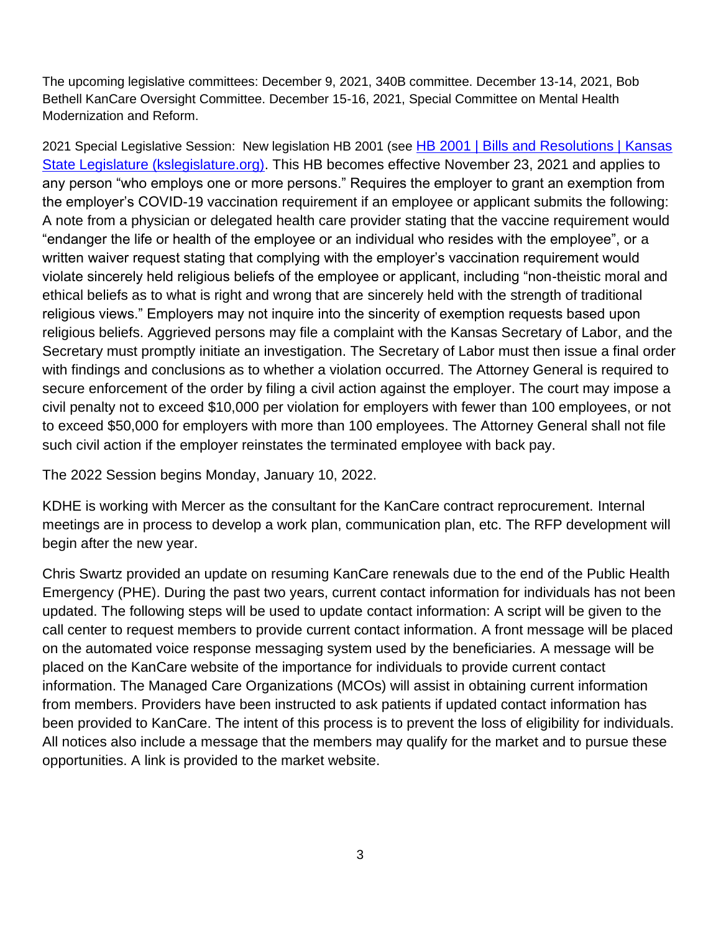The upcoming legislative committees: December 9, 2021, 340B committee. December 13-14, 2021, Bob Bethell KanCare Oversight Committee. December 15-16, 2021, Special Committee on Mental Health Modernization and Reform.

2021 Special Legislative Session: New legislation HB 2001 (see HB 2001 | Bills and Resolutions | Kansas [State Legislature \(kslegislature.org\).](http://www.kslegislature.org/li_2021s/b2021s/measures/hb2001/) This HB becomes effective November 23, 2021 and applies to any person "who employs one or more persons." Requires the employer to grant an exemption from the employer's COVID-19 vaccination requirement if an employee or applicant submits the following: A note from a physician or delegated health care provider stating that the vaccine requirement would "endanger the life or health of the employee or an individual who resides with the employee", or a written waiver request stating that complying with the employer's vaccination requirement would violate sincerely held religious beliefs of the employee or applicant, including "non-theistic moral and ethical beliefs as to what is right and wrong that are sincerely held with the strength of traditional religious views." Employers may not inquire into the sincerity of exemption requests based upon religious beliefs. Aggrieved persons may file a complaint with the Kansas Secretary of Labor, and the Secretary must promptly initiate an investigation. The Secretary of Labor must then issue a final order with findings and conclusions as to whether a violation occurred. The Attorney General is required to secure enforcement of the order by filing a civil action against the employer. The court may impose a civil penalty not to exceed \$10,000 per violation for employers with fewer than 100 employees, or not to exceed \$50,000 for employers with more than 100 employees. The Attorney General shall not file such civil action if the employer reinstates the terminated employee with back pay.

The 2022 Session begins Monday, January 10, 2022.

KDHE is working with Mercer as the consultant for the KanCare contract reprocurement. Internal meetings are in process to develop a work plan, communication plan, etc. The RFP development will begin after the new year.

Chris Swartz provided an update on resuming KanCare renewals due to the end of the Public Health Emergency (PHE). During the past two years, current contact information for individuals has not been updated. The following steps will be used to update contact information: A script will be given to the call center to request members to provide current contact information. A front message will be placed on the automated voice response messaging system used by the beneficiaries. A message will be placed on the KanCare website of the importance for individuals to provide current contact information. The Managed Care Organizations (MCOs) will assist in obtaining current information from members. Providers have been instructed to ask patients if updated contact information has been provided to KanCare. The intent of this process is to prevent the loss of eligibility for individuals. All notices also include a message that the members may qualify for the market and to pursue these opportunities. A link is provided to the market website.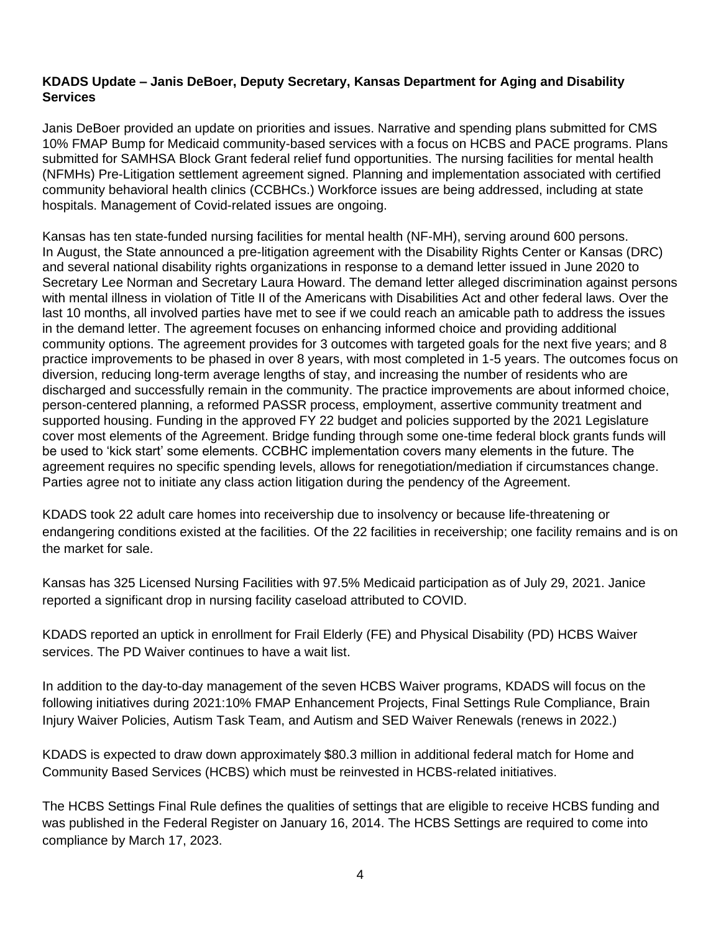## **KDADS Update – Janis DeBoer, Deputy Secretary, Kansas Department for Aging and Disability Services**

Janis DeBoer provided an update on priorities and issues. Narrative and spending plans submitted for CMS 10% FMAP Bump for Medicaid community-based services with a focus on HCBS and PACE programs. Plans submitted for SAMHSA Block Grant federal relief fund opportunities. The nursing facilities for mental health (NFMHs) Pre-Litigation settlement agreement signed. Planning and implementation associated with certified community behavioral health clinics (CCBHCs.) Workforce issues are being addressed, including at state hospitals. Management of Covid-related issues are ongoing.

Kansas has ten state-funded nursing facilities for mental health (NF-MH), serving around 600 persons. In August, the State announced a pre-litigation agreement with the Disability Rights Center or Kansas (DRC) and several national disability rights organizations in response to a demand letter issued in June 2020 to Secretary Lee Norman and Secretary Laura Howard. The demand letter alleged discrimination against persons with mental illness in violation of Title II of the Americans with Disabilities Act and other federal laws. Over the last 10 months, all involved parties have met to see if we could reach an amicable path to address the issues in the demand letter. The agreement focuses on enhancing informed choice and providing additional community options. The agreement provides for 3 outcomes with targeted goals for the next five years; and 8 practice improvements to be phased in over 8 years, with most completed in 1-5 years. The outcomes focus on diversion, reducing long-term average lengths of stay, and increasing the number of residents who are discharged and successfully remain in the community. The practice improvements are about informed choice, person-centered planning, a reformed PASSR process, employment, assertive community treatment and supported housing. Funding in the approved FY 22 budget and policies supported by the 2021 Legislature cover most elements of the Agreement. Bridge funding through some one-time federal block grants funds will be used to 'kick start' some elements. CCBHC implementation covers many elements in the future. The agreement requires no specific spending levels, allows for renegotiation/mediation if circumstances change. Parties agree not to initiate any class action litigation during the pendency of the Agreement.

KDADS took 22 adult care homes into receivership due to insolvency or because life-threatening or endangering conditions existed at the facilities. Of the 22 facilities in receivership; one facility remains and is on the market for sale.

Kansas has 325 Licensed Nursing Facilities with 97.5% Medicaid participation as of July 29, 2021. Janice reported a significant drop in nursing facility caseload attributed to COVID.

KDADS reported an uptick in enrollment for Frail Elderly (FE) and Physical Disability (PD) HCBS Waiver services. The PD Waiver continues to have a wait list.

In addition to the day-to-day management of the seven HCBS Waiver programs, KDADS will focus on the following initiatives during 2021:10% FMAP Enhancement Projects, Final Settings Rule Compliance, Brain Injury Waiver Policies, Autism Task Team, and Autism and SED Waiver Renewals (renews in 2022.)

KDADS is expected to draw down approximately \$80.3 million in additional federal match for Home and Community Based Services (HCBS) which must be reinvested in HCBS-related initiatives.

The HCBS Settings Final Rule defines the qualities of settings that are eligible to receive HCBS funding and was published in the Federal Register on January 16, 2014. The HCBS Settings are required to come into compliance by March 17, 2023.